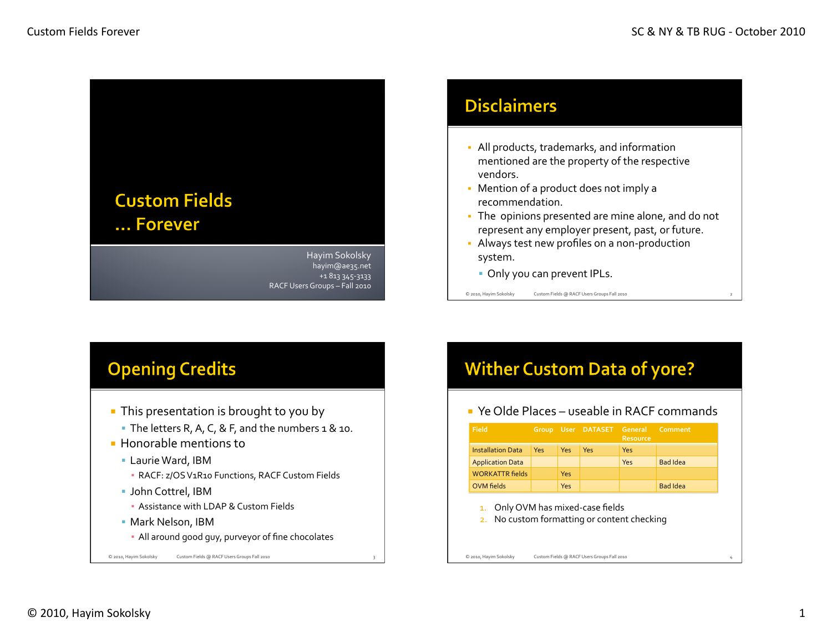

Hayim Sokolsky hayim@ae35.net& +1 813 345-3133 RACF Users Groups - Fall 2010

### **Disclaimers**

- All products, trademarks, and information mentioned are the property of the respective vendors.
- Mention of a product does not imply a recommendation.
- The opinions presented are mine alone, and do not represent any employer present, past, or future.
- Always test new profiles on a non-production system.
	- Only you can prevent IPLs.

© 2010, Hayim Sokolsky Custom Fields @ RACF Users Groups Fall 2010

### **Opening Credits**

- **This presentation is brought to you by** 
	- The letters R, A, C, & F, and the numbers  $1 & 10$ .
- $\blacksquare$  Honorable mentions to
	- **Laurie Ward, IBM** 
		- **· RACF: z/OS V1R10 Functions, RACF Custom Fields**
	- John Cottrel, IBM
		- **Assistance with LDAP & Custom Fields**
	- **Mark Nelson, IBM**

© 2010, Hayim Sokolsky Custom Fields @ RACF Users Groups Fall 2010

**All around good guy, purveyor of fine chocolates** 

## **Wither Custom Data of yore?**

 $\blacksquare$  Ye Olde Places – useable in RACF commands

| Field                    |     |            | Group User DATASET General Comment | Resource |                 |
|--------------------------|-----|------------|------------------------------------|----------|-----------------|
| <b>Installation Data</b> | Yes | <b>Yes</b> | Yes                                | Yes      |                 |
| <b>Application Data</b>  |     |            |                                    | Yes      | <b>Bad Idea</b> |
| <b>WORKATTR fields</b>   |     | Yes        |                                    |          |                 |
| <b>OVM</b> fields        |     | Yes        |                                    |          | <b>Bad Idea</b> |

- 1. Only OVM has mixed-case fields
- 2. No custom formatting or content checking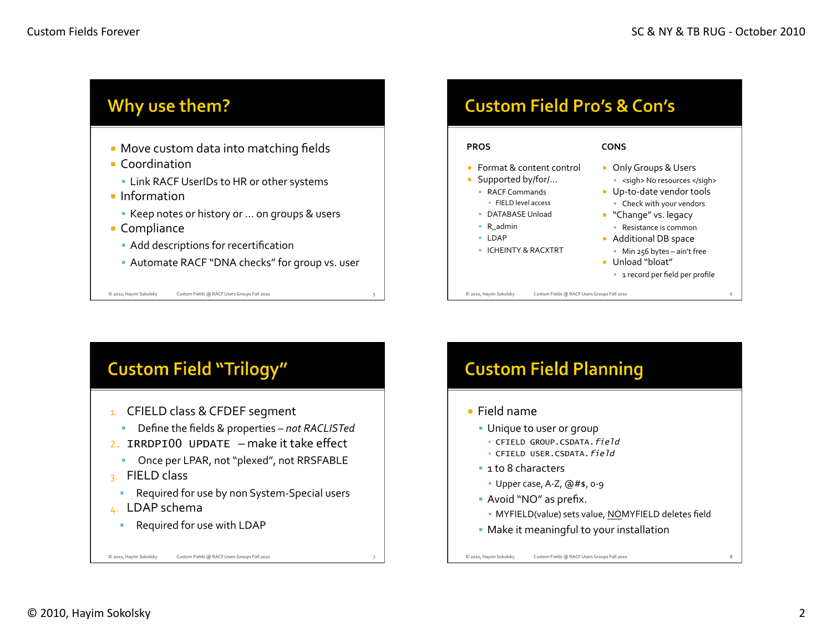



# Unique to user or group • CFIELD GROUP.CSDATA.field • CFIELD USER.CSDATA.field  $\cdot$  Upper case, A-Z,  $@#$ \$, o-9  $\blacksquare$  Avoid "NO" as prefix. · MYFIELD(value) sets value, NOMYFIELD deletes field

- 
- Make it meaningful to your installation

© 2010, Hayim Sokolsky Custom Fields @ RACF Users Groups Fall 2010

© 2010, Hayim Sokolsky Custom Fields @ RACF Users Groups Fall 2010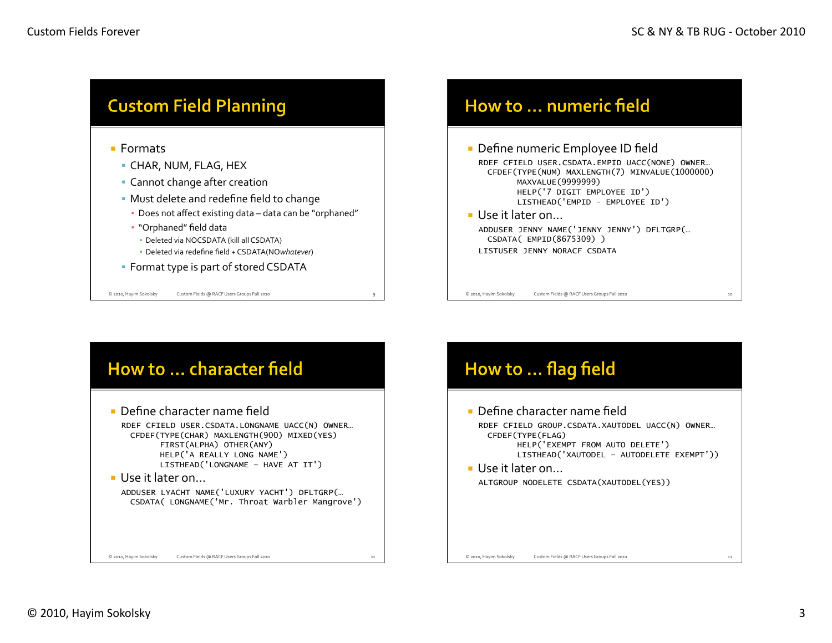

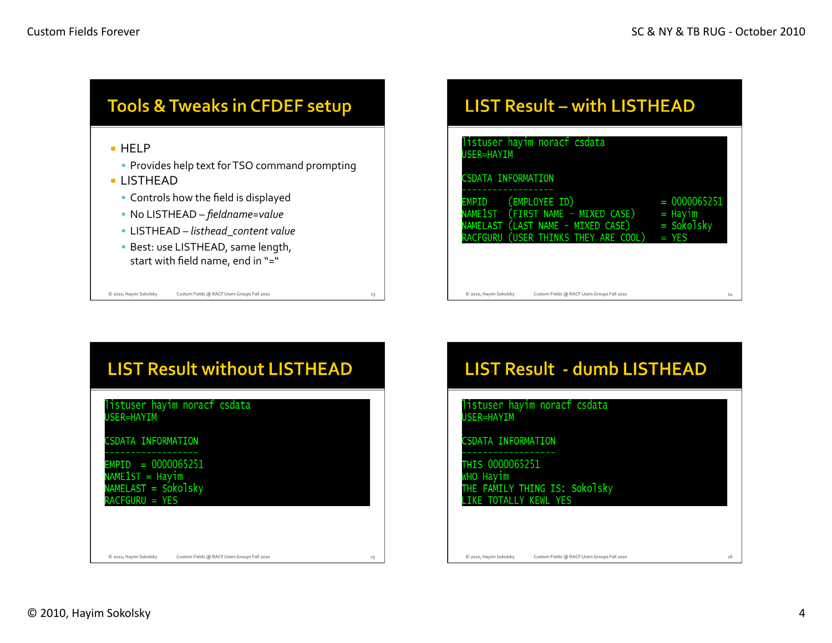

#### **LIST Result - with LISTHEAD**

| listuser hayim noracf csdata<br>USER=HAYIM                                                                                                         |                                                      |
|----------------------------------------------------------------------------------------------------------------------------------------------------|------------------------------------------------------|
| <b>CSDATA INFORMATION</b>                                                                                                                          |                                                      |
| (EMPLOYEE ID)<br><b>EMPID</b><br>(FIRST NAME - MIXED CASE)<br>NAME1ST<br>NAMELAST (LAST NAME - MIXED CASE)<br>RACFGURU (USER THINKS THEY ARE COOL) | $= 0000065251$<br>= Hayim<br>$=$ Sokolsky<br>$=$ YES |
|                                                                                                                                                    |                                                      |
| C 2010, Hayim Sokolsky<br>Custom Fields @ RACF Users Groups Fall 2010                                                                              | 14                                                   |



## LIST Result - dumb LISTHEAD

istuser hayim noract csdata **SER=HAYIM** 

SDATA INFORMATION

HIS 0000065251

/HO Hayim<br>THE FAMILY THING IS: Sokolsky **TOTALLY KEWL**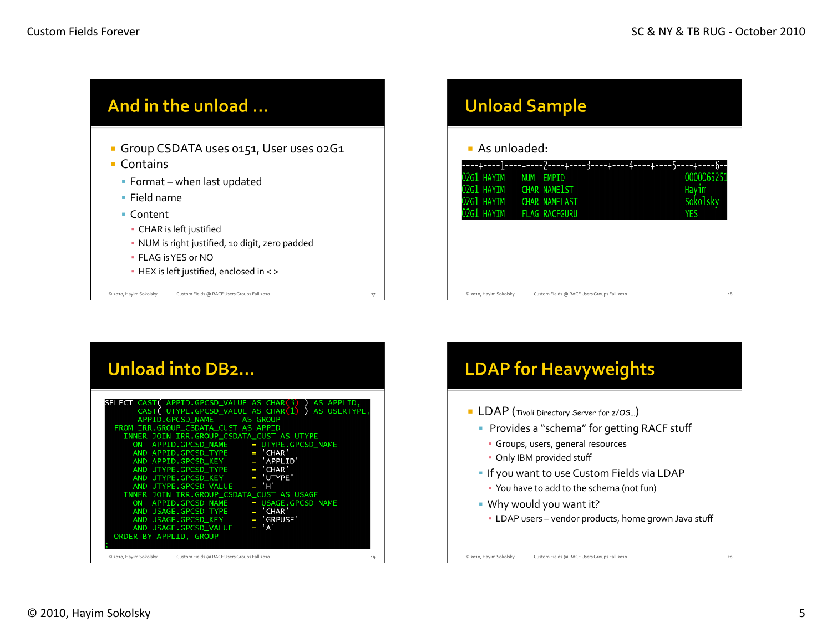

|                             | <b>Unload Sample</b>                        |                             |
|-----------------------------|---------------------------------------------|-----------------------------|
| $\blacksquare$ As unloaded: |                                             |                             |
| 02G1 HAYIM                  | ---<br><b>NUM</b><br>EMPID                  | 5----+----6--<br>0000065251 |
| 02G1 HAYIM                  | CHAR NAME1ST                                | Hayim                       |
| 02G1 HAYIM                  | <b>CHAR NAMELAST</b>                        | Sokolsky                    |
| 02G1 HAYIM                  | <b>FLAG RACFGURU</b>                        | YES                         |
|                             |                                             |                             |
| C 2010, Hayim Sokolsky      | Custom Fields @ RACF Users Groups Fall 2010 | 18                          |

| Unload into DB2                                                                                                                                                                                                                                                                                                                                                                                                                                                                                                                                                                                                                                                                                     |    |
|-----------------------------------------------------------------------------------------------------------------------------------------------------------------------------------------------------------------------------------------------------------------------------------------------------------------------------------------------------------------------------------------------------------------------------------------------------------------------------------------------------------------------------------------------------------------------------------------------------------------------------------------------------------------------------------------------------|----|
| SELECT CAST( APPID.GPCSD_VALUE AS CHAR(3) )<br>AS APPLID,<br>CAST ( UTYPE.GPCSD_VALUE AS CHAR (1) ) AS USERTYPE,<br><b>AS GROUP</b><br>APPID.GPCSD_NAME<br>FROM IRR.GROUP_CSDATA_CUST AS APPID<br>INNER JOIN IRR.GROUP_CSDATA_CUST AS UTYPE<br>ON APPID.GPCSD_NAME = UTYPE.GPCSD_NAME<br>$AND$ APPID.GPCSD_TYPE = 'CHAR'<br>$AND$ APPID.GPCSD_KEY = 'APPLID'<br>AND UTYPE.GPCSD_TYPE = $'$ CHAR'<br>AND UTYPE.GPCSD_KEY = 'UTYPE'<br>AND UTYPE.GPCSD_VALUE = $H'$<br>INNER JOIN IRR.GROUP_CSDATA_CUST AS USAGE<br>ON APPID.GPCSD_NAME = USAGE.GPCSD_NAME<br>$= 'CHAR'$<br>AND USAGE.GPCSD_TYPE<br>$= 'GRPUSE'$<br>AND USAGE.GPCSD_KEY<br>$= 'A'$<br>AND USAGE.GPCSD_VALUE<br>ORDER BY APPLID, GROUP |    |
| C 2010, Hayim Sokolsky<br>Custom Fields @ RACF Users Groups Fall 2010                                                                                                                                                                                                                                                                                                                                                                                                                                                                                                                                                                                                                               | 19 |

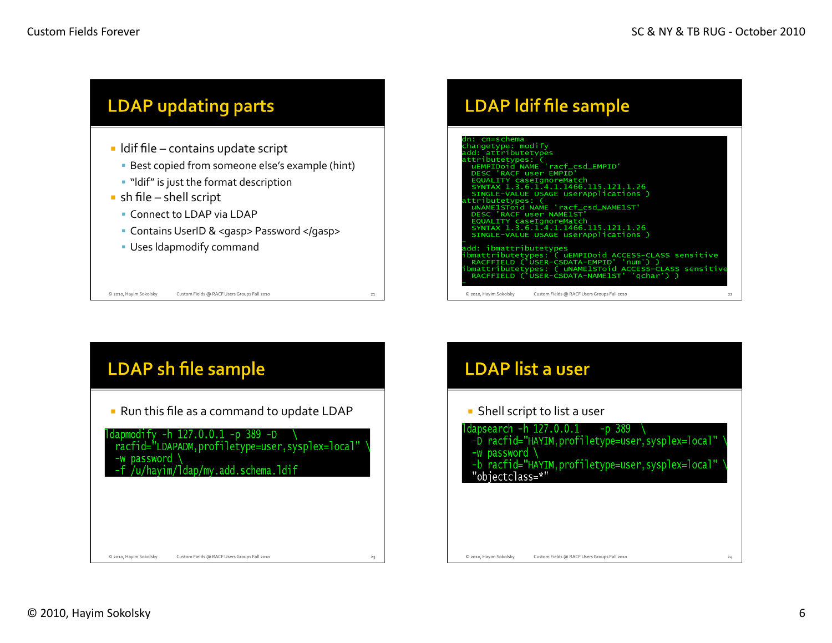